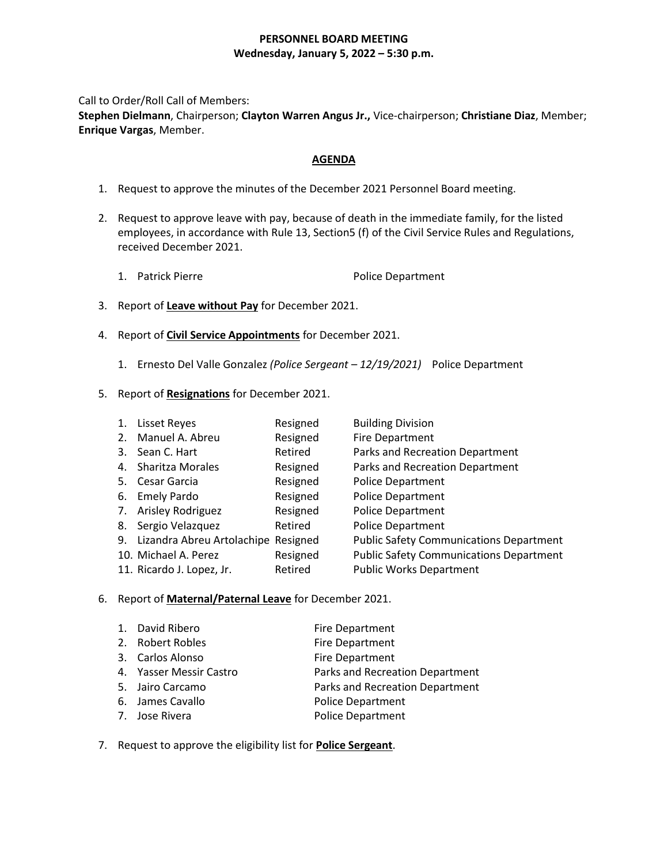# **PERSONNEL BOARD MEETING Wednesday, January 5, 2022 – 5:30 p.m.**

Call to Order/Roll Call of Members:

**Stephen Dielmann**, Chairperson; **Clayton Warren Angus Jr.,** Vice-chairperson; **Christiane Diaz**, Member; **Enrique Vargas**, Member.

# **AGENDA**

- 1. Request to approve the minutes of the December 2021 Personnel Board meeting.
- 2. Request to approve leave with pay, because of death in the immediate family, for the listed employees, in accordance with Rule 13, Section5 (f) of the Civil Service Rules and Regulations, received December 2021.
	- 1. Patrick Pierre **Police Department**
- 3. Report of **Leave without Pay** for December 2021.
- 4. Report of **Civil Service Appointments** for December 2021.
	- 1. Ernesto Del Valle Gonzalez *(Police Sergeant – 12/19/2021)* Police Department
- 5. Report of **Resignations** for December 2021.
	- 1. Lisset Reyes **Resigned** Building Division 2. Manuel A. Abreu Resigned Fire Department
	- 3. Sean C. Hart **Retired** Parks and Recreation Department
	- 4. Sharitza Morales **Resigned** Parks and Recreation Department
	- 5. Cesar Garcia Resigned Police Department
	- 6. Emely Pardo Resigned Police Department
	- 7. Arisley Rodriguez Resigned Police Department
	-
	- 8. Sergio Velazquez **Retired** Police Department
	- 9. Lizandra Abreu Artolachipe Resigned Public Safety Communications Department
	- 10. Michael A. Perez Resigned Public Safety Communications Department
	- 11. Ricardo J. Lopez, Jr. Retired Public Works Department

### 6. Report of **Maternal/Paternal Leave** for December 2021.

| 1. David Ribero         | <b>Fire Department</b>          |
|-------------------------|---------------------------------|
| 2. Robert Robles        | <b>Fire Department</b>          |
| 3. Carlos Alonso        | <b>Fire Department</b>          |
| 4. Yasser Messir Castro | Parks and Recreation Department |
| 5. Jairo Carcamo        | Parks and Recreation Department |
| 6. James Cavallo        | <b>Police Department</b>        |
| 7. Jose Rivera          | <b>Police Department</b>        |

7. Request to approve the eligibility list for **Police Sergeant**.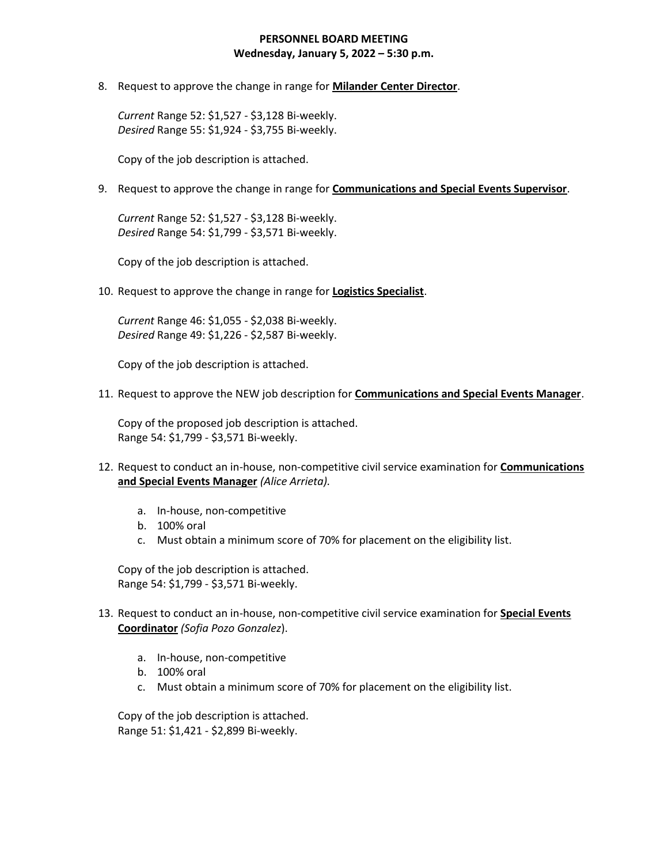## **PERSONNEL BOARD MEETING Wednesday, January 5, 2022 – 5:30 p.m.**

8. Request to approve the change in range for **Milander Center Director**.

*Current* Range 52: \$1,527 - \$3,128 Bi-weekly. *Desired* Range 55: \$1,924 - \$3,755 Bi-weekly.

Copy of the job description is attached.

9. Request to approve the change in range for **Communications and Special Events Supervisor**.

*Current* Range 52: \$1,527 - \$3,128 Bi-weekly. *Desired* Range 54: \$1,799 - \$3,571 Bi-weekly.

Copy of the job description is attached.

10. Request to approve the change in range for **Logistics Specialist**.

*Current* Range 46: \$1,055 - \$2,038 Bi-weekly. *Desired* Range 49: \$1,226 - \$2,587 Bi-weekly.

Copy of the job description is attached.

11. Request to approve the NEW job description for **Communications and Special Events Manager**.

Copy of the proposed job description is attached. Range 54: \$1,799 - \$3,571 Bi-weekly.

- 12. Request to conduct an in-house, non-competitive civil service examination for **Communications and Special Events Manager** *(Alice Arrieta).*
	- a. In-house, non-competitive
	- b. 100% oral
	- c. Must obtain a minimum score of 70% for placement on the eligibility list.

Copy of the job description is attached. Range 54: \$1,799 - \$3,571 Bi-weekly.

- 13. Request to conduct an in-house, non-competitive civil service examination for **Special Events Coordinator** *(Sofia Pozo Gonzalez*).
	- a. In-house, non-competitive
	- b. 100% oral
	- c. Must obtain a minimum score of 70% for placement on the eligibility list.

Copy of the job description is attached. Range 51: \$1,421 - \$2,899 Bi-weekly.